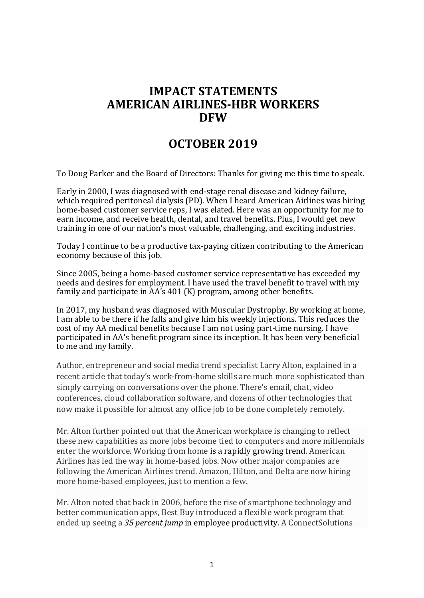## **IMPACT STATEMENTS AMERICAN AIRLINES-HBR WORKERS DFW**

## **OCTOBER 2019**

To Doug Parker and the Board of Directors: Thanks for giving me this time to speak.

Early in 2000, I was diagnosed with end-stage renal disease and kidney failure, which required peritoneal dialysis (PD). When I heard American Airlines was hiring home-based customer service reps, I was elated. Here was an opportunity for me to earn income, and receive health, dental, and travel benefits. Plus, I would get new training in one of our nation's most valuable, challenging, and exciting industries.

Today I continue to be a productive tax-paying citizen contributing to the American economy because of this job.

Since 2005, being a home-based customer service representative has exceeded my needs and desires for employment. I have used the travel benefit to travel with my family and participate in  $AA's$  401 (K) program, among other benefits.

In 2017, my husband was diagnosed with Muscular Dystrophy. By working at home, I am able to be there if he falls and give him his weekly injections. This reduces the cost of my AA medical benefits because I am not using part-time nursing. I have participated in AA's benefit program since its inception. It has been very beneficial to me and my family.

Author, entrepreneur and social media trend specialist Larry Alton, explained in a recent article that today's work-from-home skills are much more sophisticated than simply carrying on conversations over the phone. There's email, chat, video conferences, cloud collaboration software, and dozens of other technologies that now make it possible for almost any office job to be done completely remotely.

Mr. Alton further pointed out that the American workplace is changing to reflect these new capabilities as more jobs become tied to computers and more millennials enter the workforce. Working from home is a rapidly growing trend. American Airlines has led the way in home-based jobs. Now other major companies are following the American Airlines trend. Amazon, Hilton, and Delta are now hiring more home-based employees, just to mention a few.

Mr. Alton noted that back in 2006, before the rise of smartphone technology and better communication apps, Best Buy introduced a flexible work program that ended up seeing a 35 *percent jump* in employee productivity. A ConnectSolutions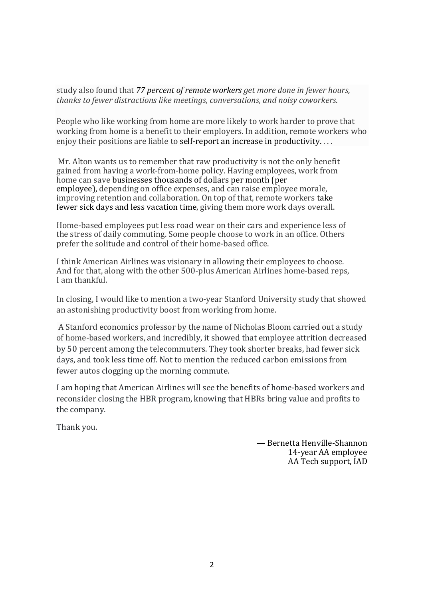study also found that 77 percent of remote workers get more done in fewer hours, *thanks to fewer distractions like meetings, conversations, and noisy coworkers.*

People who like working from home are more likely to work harder to prove that working from home is a benefit to their employers. In addition, remote workers who enjoy their positions are liable to self-report an increase in productivity....

Mr. Alton wants us to remember that raw productivity is not the only benefit gained from having a work-from-home policy. Having employees, work from home can save businesses thousands of dollars per month (per employee), depending on office expenses, and can raise employee morale, improving retention and collaboration. On top of that, remote workers take fewer sick days and less vacation time, giving them more work days overall.

Home-based employees put less road wear on their cars and experience less of the stress of daily commuting. Some people choose to work in an office. Others prefer the solitude and control of their home-based office.

I think American Airlines was visionary in allowing their employees to choose. And for that, along with the other 500-plus American Airlines home-based reps, I am thankful.

In closing, I would like to mention a two-year Stanford University study that showed an astonishing productivity boost from working from home.

A Stanford economics professor by the name of Nicholas Bloom carried out a study of home-based workers, and incredibly, it showed that employee attrition decreased by 50 percent among the telecommuters. They took shorter breaks, had fewer sick days, and took less time off. Not to mention the reduced carbon emissions from fewer autos clogging up the morning commute.

I am hoping that American Airlines will see the benefits of home-based workers and reconsider closing the HBR program, knowing that HBRs bring value and profits to the company.

Thank you.

— Bernetta Henville-Shannon 14-year AA employee AA Tech support, IAD